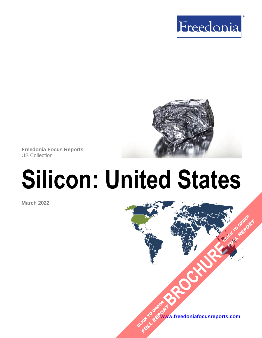



**Freedonia Focus Reports** US Collection

# **Silicon: United States**

**March 2022**

**[www.freedoniafocusreports.com](https://www.freedoniafocusreports.com/redirect.asp?progid=89534&url=/)** CLICK TO ORDER **FULL REPORT** 

**[BROCHURE](https://www.freedoniafocusreports.com/Silicon-United-States-FF65024/?progid=89541) CLICK TO ORDER** 

**FULL REPORT**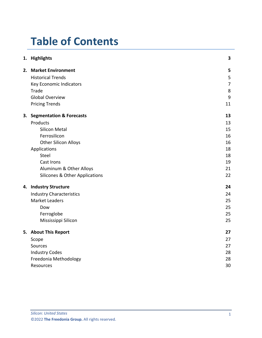# **Table of Contents**

|  | 1. Highlights                             | 3              |
|--|-------------------------------------------|----------------|
|  | 2. Market Environment                     | 5              |
|  | <b>Historical Trends</b>                  | 5              |
|  | Key Economic Indicators                   | $\overline{7}$ |
|  | Trade                                     | 8              |
|  | <b>Global Overview</b>                    | 9              |
|  | <b>Pricing Trends</b>                     | 11             |
|  | 3. Segmentation & Forecasts               | 13             |
|  | Products                                  | 13             |
|  | <b>Silicon Metal</b>                      | 15             |
|  | Ferrosilicon                              | 16             |
|  | <b>Other Silicon Alloys</b>               | 16             |
|  | Applications                              | 18             |
|  | Steel                                     | 18             |
|  | <b>Cast Irons</b>                         | 19             |
|  | Aluminum & Other Alloys                   | 21             |
|  | <b>Silicones &amp; Other Applications</b> | 22             |
|  | 4. Industry Structure                     | 24             |
|  | <b>Industry Characteristics</b>           | 24             |
|  | <b>Market Leaders</b>                     | 25             |
|  | Dow                                       | 25             |
|  | Ferroglobe                                | 25             |
|  | Mississippi Silicon                       | 25             |
|  | 5. About This Report                      | 27             |
|  | Scope                                     | 27             |
|  | Sources                                   | 27             |
|  | <b>Industry Codes</b>                     | 28             |
|  | Freedonia Methodology                     | 28             |
|  | Resources                                 | 30             |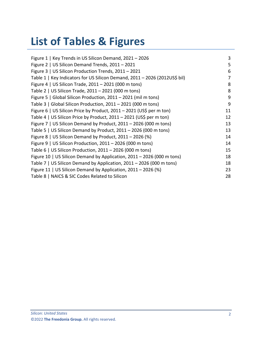# **List of Tables & Figures**

| Figure 1   Key Trends in US Silicon Demand, 2021 - 2026                    | 3  |
|----------------------------------------------------------------------------|----|
| Figure 2   US Silicon Demand Trends, 2011 - 2021                           | 5  |
| Figure 3   US Silicon Production Trends, 2011 - 2021                       | 6  |
| Table 1   Key Indicators for US Silicon Demand, 2011 - 2026 (2012US\$ bil) | 7  |
| Figure 4   US Silicon Trade, 2011 - 2021 (000 m tons)                      | 8  |
| Table 2   US Silicon Trade, 2011 - 2021 (000 m tons)                       | 8  |
| Figure 5   Global Silicon Production, 2011 - 2021 (mil m tons)             | 9  |
| Table 3   Global Silicon Production, 2011 - 2021 (000 m tons)              | 9  |
| Figure 6   US Silicon Price by Product, 2011 – 2021 (US\$ per m ton)       | 11 |
| Table 4   US Silicon Price by Product, 2011 - 2021 (US\$ per m ton)        | 12 |
| Figure 7   US Silicon Demand by Product, 2011 – 2026 (000 m tons)          | 13 |
| Table 5   US Silicon Demand by Product, $2011 - 2026$ (000 m tons)         | 13 |
| Figure 8   US Silicon Demand by Product, 2011 - 2026 (%)                   | 14 |
| Figure 9   US Silicon Production, $2011 - 2026$ (000 m tons)               | 14 |
| Table 6   US Silicon Production, $2011 - 2026$ (000 m tons)                | 15 |
| Figure 10   US Silicon Demand by Application, 2011 - 2026 (000 m tons)     | 18 |
| Table 7   US Silicon Demand by Application, 2011 - 2026 (000 m tons)       | 18 |
| Figure 11   US Silicon Demand by Application, $2011 - 2026$ (%)            | 23 |
| Table 8   NAICS & SIC Codes Related to Silicon                             | 28 |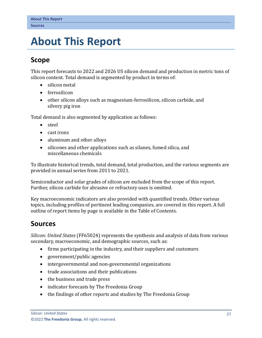## <span id="page-3-0"></span>**5. About This Report**

## <span id="page-3-1"></span>**Scope**

This report forecasts to 2022 and 2026 US silicon demand and production in metric tons of silicon content. Total demand is segmented by product in terms of:

- silicon metal
- ferrosilicon
- other silicon alloys such as magnesium-ferrosilicon, silicon carbide, and silvery pig iron

Total demand is also segmented by application as follows:

- steel
- cast irons
- aluminum and other alloys
- silicones and other applications such as silanes, fumed silica, and miscellaneous chemicals

To illustrate historical trends, total demand, total production, and the various segments are provided in annual series from 2011 to 2021.

Semiconductor and solar grades of silicon are excluded from the scope of this report. Further, silicon carbide for abrasive or refractory uses is omitted.

Key macroeconomic indicators are also provided with quantified trends. Other various topics, including profiles of pertinent leading companies, are covered in this report. A full outline of report items by page is available in the Table of Contents.

## <span id="page-3-2"></span>**Sources**

*Silicon: United States* (FF65024) represents the synthesis and analysis of data from various secondary, macroeconomic, and demographic sources, such as:

- firms participating in the industry, and their suppliers and customers
- government/public agencies
- intergovernmental and non-governmental organizations
- trade associations and their publications
- the business and trade press
- indicator forecasts by The Freedonia Group
- the findings of other reports and studies by The Freedonia Group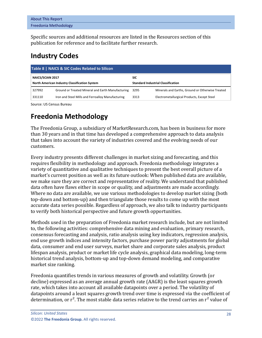| <b>About This Report</b> |  |
|--------------------------|--|
| Freedonia Methodology    |  |

Specific sources and additional resources are listed in the Resources section of this publication for reference and to facilitate further research.

## <span id="page-4-0"></span>**Industry Codes**

<span id="page-4-2"></span>

| Table 8   NAICS & SIC Codes Related to Silicon |                                                   |                                           |                                                  |  |  |  |  |
|------------------------------------------------|---------------------------------------------------|-------------------------------------------|--------------------------------------------------|--|--|--|--|
| NAICS/SCIAN 2017                               |                                                   | SIC                                       |                                                  |  |  |  |  |
| North American Industry Classification System  |                                                   | <b>Standard Industrial Classification</b> |                                                  |  |  |  |  |
| 327992                                         | Ground or Treated Mineral and Earth Manufacturing | 3295                                      | Minerals and Earths, Ground or Otherwise Treated |  |  |  |  |
| 331110                                         | Iron and Steel Mills and Ferroalloy Manufacturing | 3313                                      | Electrometallurgical Products, Except Steel      |  |  |  |  |

Source: US Census Bureau

## <span id="page-4-1"></span>**Freedonia Methodology**

The Freedonia Group, a subsidiary of MarketResearch.com, has been in business for more than 30 years and in that time has developed a comprehensive approach to data analysis that takes into account the variety of industries covered and the evolving needs of our customers.

Every industry presents different challenges in market sizing and forecasting, and this requires flexibility in methodology and approach. Freedonia methodology integrates a variety of quantitative and qualitative techniques to present the best overall picture of a market's current position as well as its future outlook: When published data are available, we make sure they are correct and representative of reality. We understand that published data often have flaws either in scope or quality, and adjustments are made accordingly. Where no data are available, we use various methodologies to develop market sizing (both top-down and bottom-up) and then triangulate those results to come up with the most accurate data series possible. Regardless of approach, we also talk to industry participants to verify both historical perspective and future growth opportunities.

Methods used in the preparation of Freedonia market research include, but are not limited to, the following activities: comprehensive data mining and evaluation, primary research, consensus forecasting and analysis, ratio analysis using key indicators, regression analysis, end use growth indices and intensity factors, purchase power parity adjustments for global data, consumer and end user surveys, market share and corporate sales analysis, product lifespan analysis, product or market life cycle analysis, graphical data modeling, long-term historical trend analysis, bottom-up and top-down demand modeling, and comparative market size ranking.

Freedonia quantifies trends in various measures of growth and volatility. Growth (or decline) expressed as an average annual growth rate (AAGR) is the least squares growth rate, which takes into account all available datapoints over a period. The volatility of datapoints around a least squares growth trend over time is expressed via the coefficient of determination, or  $r^2$ . The most stable data series relative to the trend carries an  $r^2$  value of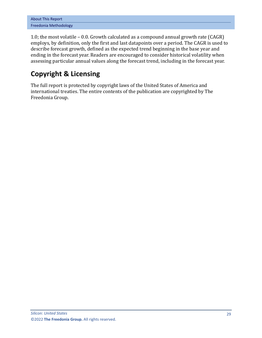| <b>About This Report</b> |  |  |
|--------------------------|--|--|
| Freedonia Methodology    |  |  |

1.0; the most volatile – 0.0. Growth calculated as a compound annual growth rate (CAGR) employs, by definition, only the first and last datapoints over a period. The CAGR is used to describe forecast growth, defined as the expected trend beginning in the base year and ending in the forecast year. Readers are encouraged to consider historical volatility when assessing particular annual values along the forecast trend, including in the forecast year.

## **Copyright & Licensing**

The full report is protected by copyright laws of the United States of America and international treaties. The entire contents of the publication are copyrighted by The Freedonia Group.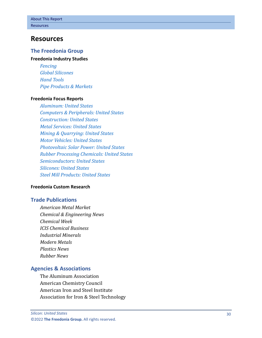## <span id="page-6-0"></span>**Resources**

### **The Freedonia Group**

#### **[Freedonia Industry Studies](http://www.freedoniagroup.com/Home.aspx?ReferrerId=FL-Focus)**

*[Fencing](http://www.freedoniagroup.com/DocumentDetails.aspx?ReferrerId=FL-FOCUS&studyid=3824) [Global Silicones](http://www.freedoniagroup.com/DocumentDetails.aspx?ReferrerId=FL-FOCUS&studyid=4281) [Hand Tools](http://www.freedoniagroup.com/DocumentDetails.aspx?ReferrerId=FL-FOCUS&studyid=3833) [Pipe Products & Markets](http://www.freedoniagroup.com/DocumentDetails.aspx?ReferrerId=FL-FOCUS&studyid=3851)*

#### **[Freedonia Focus Reports](https://www.freedoniafocusreports.com/redirect.asp?progid=89534&url=/)**

*[Aluminum: United States](https://www.freedoniafocusreports.com/Aluminum-United-States-FF65010/?progid=89534) [Computers & Peripherals: United States](https://www.freedoniafocusreports.com/Computers-Peripherals-United-States-FF80047/?progid=89534) [Construction: United States](https://www.freedoniafocusreports.com/Construction-United-States-FF60054/?progid=89534) [Metal Services: United States](https://www.freedoniafocusreports.com/Metal-Services-United-States-FF95056/?progid=89534) [Mining & Quarrying: United States](https://www.freedoniafocusreports.com/Mining-Quarrying-United-States-FF65051/?progid=89534) [Motor Vehicles: United States](https://www.freedoniafocusreports.com/Motor-Vehicles-United-States-FF85029/?progid=89534) [Photovoltaic Solar Power: United States](https://www.freedoniafocusreports.com/Photovoltaic-Solar-Power-United-States-FF80042/?progid=89534) [Rubber Processing Chemicals: United States](https://www.freedoniafocusreports.com/Rubber-Processing-Chemicals-United-States-FF35079/?progid=89534) [Semiconductors: United States](https://www.freedoniafocusreports.com/Semiconductors-United-States-FF80023/?progid=89534) [Silicones: United States](https://www.freedoniafocusreports.com/Silicones-United-States-FF55022/?progid=89534) [Steel Mill Products: United States](https://www.freedoniafocusreports.com/Steel-Mill-Products-United-States-FF65013/?progid=89534)*

#### **[Freedonia Custom Research](http://www.freedoniagroup.com/CustomResearch.aspx?ReferrerId=FL-Focus)**

### **Trade Publications**

*American Metal Market Chemical & Engineering News Chemical Week ICIS Chemical Business Industrial Minerals Modern Metals Plastics News Rubber News*

### **Agencies & Associations**

The Aluminum Association American Chemistry Council American Iron and Steel Institute Association for Iron & Steel Technology